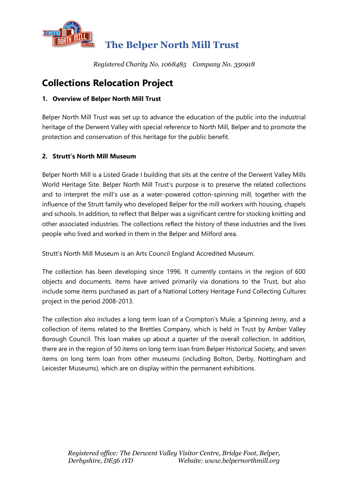

# **The Belper North Mill Trust**

*Registered Charity No. 1068485 Company No. 350918*

# **Collections Relocation Project**

# **1. Overview of Belper North Mill Trust**

Belper North Mill Trust was set up to advance the education of the public into the industrial heritage of the Derwent Valley with special reference to North Mill, Belper and to promote the protection and conservation of this heritage for the public benefit.

## **2. Strutt's North Mill Museum**

Belper North Mill is a Listed Grade I building that sits at the centre of the Derwent Valley Mills World Heritage Site. Belper North Mill Trust's purpose is to preserve the related collections and to interpret the mill's use as a water-powered cotton-spinning mill, together with the influence of the Strutt family who developed Belper for the mill workers with housing, chapels and schools. In addition, to reflect that Belper was a significant centre for stocking knitting and other associated industries. The collections reflect the history of these industries and the lives people who lived and worked in them in the Belper and Milford area.

Strutt's North Mill Museum is an Arts Council England Accredited Museum.

The collection has been developing since 1996. It currently contains in the region of 600 objects and documents. Items have arrived primarily via donations to the Trust, but also include some items purchased as part of a National Lottery Heritage Fund Collecting Cultures project in the period 2008-2013.

The collection also includes a long term loan of a Crompton's Mule, a Spinning Jenny, and a collection of items related to the Brettles Company, which is held in Trust by Amber Valley Borough Council. This loan makes up about a quarter of the overall collection. In addition, there are in the region of 50 items on long term loan from Belper Historical Society, and seven items on long term loan from other museums (including Bolton, Derby, Nottingham and Leicester Museums), which are on display within the permanent exhibitions.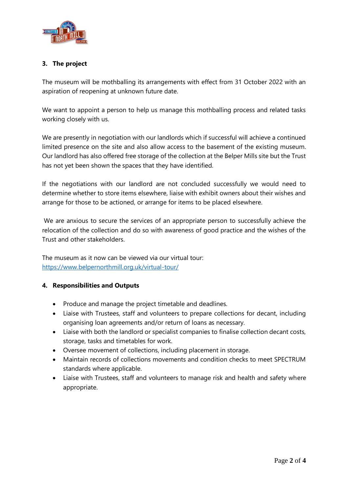

## **3. The project**

The museum will be mothballing its arrangements with effect from 31 October 2022 with an aspiration of reopening at unknown future date.

We want to appoint a person to help us manage this mothballing process and related tasks working closely with us.

We are presently in negotiation with our landlords which if successful will achieve a continued limited presence on the site and also allow access to the basement of the existing museum. Our landlord has also offered free storage of the collection at the Belper Mills site but the Trust has not yet been shown the spaces that they have identified.

If the negotiations with our landlord are not concluded successfully we would need to determine whether to store items elsewhere, liaise with exhibit owners about their wishes and arrange for those to be actioned, or arrange for items to be placed elsewhere.

We are anxious to secure the services of an appropriate person to successfully achieve the relocation of the collection and do so with awareness of good practice and the wishes of the Trust and other stakeholders.

The museum as it now can be viewed via our virtual tour: <https://www.belpernorthmill.org.uk/virtual-tour/>

#### **4. Responsibilities and Outputs**

- Produce and manage the project timetable and deadlines.
- Liaise with Trustees, staff and volunteers to prepare collections for decant, including organising loan agreements and/or return of loans as necessary.
- Liaise with both the landlord or specialist companies to finalise collection decant costs, storage, tasks and timetables for work.
- Oversee movement of collections, including placement in storage.
- Maintain records of collections movements and condition checks to meet SPECTRUM standards where applicable.
- Liaise with Trustees, staff and volunteers to manage risk and health and safety where appropriate.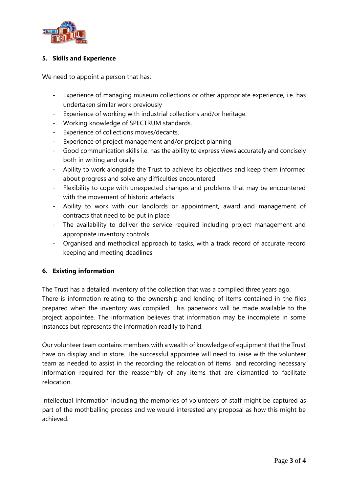

### **5. Skills and Experience**

We need to appoint a person that has:

- Experience of managing museum collections or other appropriate experience, i.e. has undertaken similar work previously
- Experience of working with industrial collections and/or heritage.
- Working knowledge of SPECTRUM standards.
- Experience of collections moves/decants.
- Experience of project management and/or project planning
- Good communication skills i.e. has the ability to express views accurately and concisely both in writing and orally
- Ability to work alongside the Trust to achieve its objectives and keep them informed about progress and solve any difficulties encountered
- Flexibility to cope with unexpected changes and problems that may be encountered with the movement of historic artefacts
- Ability to work with our landlords or appointment, award and management of contracts that need to be put in place
- The availability to deliver the service required including project management and appropriate inventory controls
- Organised and methodical approach to tasks, with a track record of accurate record keeping and meeting deadlines

#### **6. Existing information**

The Trust has a detailed inventory of the collection that was a compiled three years ago. There is information relating to the ownership and lending of items contained in the files prepared when the inventory was compiled. This paperwork will be made available to the project appointee. The information believes that information may be incomplete in some instances but represents the information readily to hand.

Our volunteer team contains members with a wealth of knowledge of equipment that the Trust have on display and in store. The successful appointee will need to liaise with the volunteer team as needed to assist in the recording the relocation of items and recording necessary information required for the reassembly of any items that are dismantled to facilitate relocation.

Intellectual Information including the memories of volunteers of staff might be captured as part of the mothballing process and we would interested any proposal as how this might be achieved.